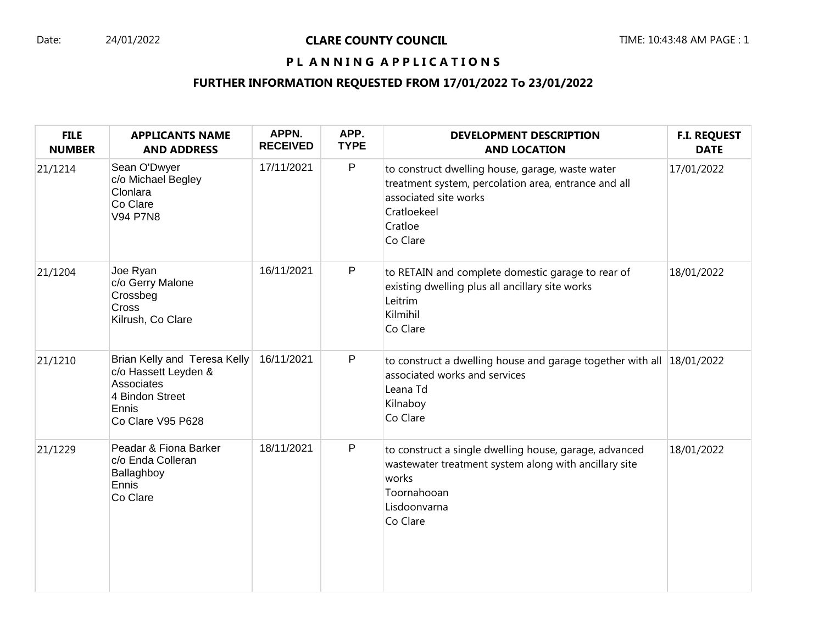# PL ANNING APPLICATIONS

# **FURTHER INFORMATION REQUESTED FROM 17/01/2022 To 23/01/2022**

| <b>FILE</b><br><b>NUMBER</b> | <b>APPLICANTS NAME</b><br><b>AND ADDRESS</b>                                                                        | APPN.<br><b>RECEIVED</b> | APP.<br><b>TYPE</b> | <b>DEVELOPMENT DESCRIPTION</b><br><b>AND LOCATION</b>                                                                                                                   | <b>F.I. REQUEST</b><br><b>DATE</b> |
|------------------------------|---------------------------------------------------------------------------------------------------------------------|--------------------------|---------------------|-------------------------------------------------------------------------------------------------------------------------------------------------------------------------|------------------------------------|
| 21/1214                      | Sean O'Dwyer<br>c/o Michael Begley<br>Clonlara<br>Co Clare<br><b>V94 P7N8</b>                                       | 17/11/2021               | $\mathsf P$         | to construct dwelling house, garage, waste water<br>treatment system, percolation area, entrance and all<br>associated site works<br>Cratloekeel<br>Cratloe<br>Co Clare | 17/01/2022                         |
| 21/1204                      | Joe Ryan<br>c/o Gerry Malone<br>Crossbeg<br><b>Cross</b><br>Kilrush, Co Clare                                       | 16/11/2021               | P                   | to RETAIN and complete domestic garage to rear of<br>existing dwelling plus all ancillary site works<br>Leitrim<br>Kilmihil<br>Co Clare                                 | 18/01/2022                         |
| 21/1210                      | Brian Kelly and Teresa Kelly<br>c/o Hassett Leyden &<br>Associates<br>4 Bindon Street<br>Ennis<br>Co Clare V95 P628 | 16/11/2021               | $\mathsf{P}$        | to construct a dwelling house and garage together with all $ 18/01/2022 $<br>associated works and services<br>Leana Td<br>Kilnaboy<br>Co Clare                          |                                    |
| 21/1229                      | Peadar & Fiona Barker<br>c/o Enda Colleran<br>Ballaghboy<br>Ennis<br>Co Clare                                       | 18/11/2021               | P                   | to construct a single dwelling house, garage, advanced<br>wastewater treatment system along with ancillary site<br>works<br>Toornahooan<br>Lisdoonvarna<br>Co Clare     | 18/01/2022                         |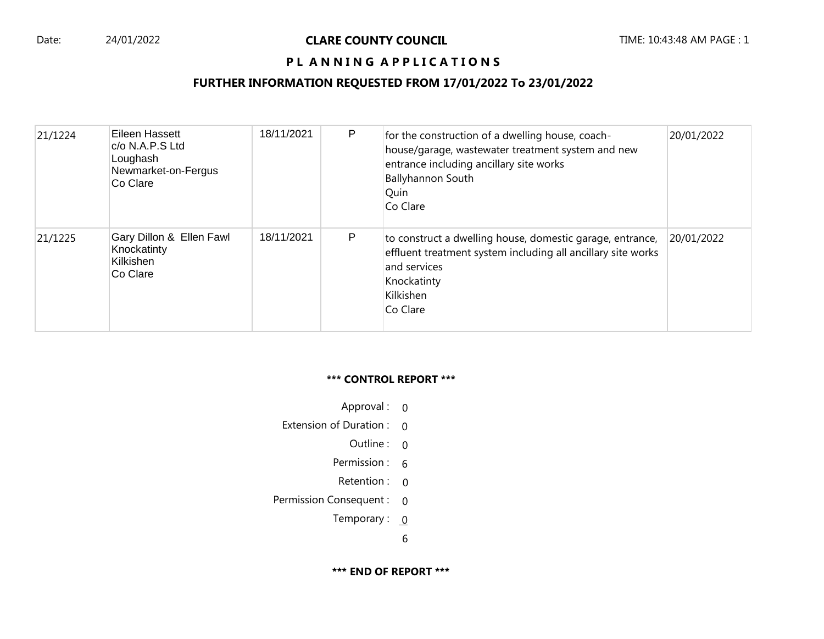# PL ANNING APPLICATIONS

### **FURTHER INFORMATION REQUESTED FROM 17/01/2022 To 23/01/2022**

| 21/1224 | Eileen Hassett<br>$c$ /o N.A.P.S Ltd<br>Loughash<br>Newmarket-on-Fergus<br>Co Clare | 18/11/2021 | P | for the construction of a dwelling house, coach-<br>house/garage, wastewater treatment system and new<br>entrance including ancillary site works<br><b>Ballyhannon South</b><br>Quin<br>Co Clare | 20/01/2022 |
|---------|-------------------------------------------------------------------------------------|------------|---|--------------------------------------------------------------------------------------------------------------------------------------------------------------------------------------------------|------------|
| 21/1225 | Gary Dillon & Ellen Fawl<br>Knockatinty<br>Kilkishen<br>Co Clare                    | 18/11/2021 | P | to construct a dwelling house, domestic garage, entrance,<br>effluent treatment system including all ancillary site works<br>and services<br>Knockatinty<br>Kilkishen<br>Co Clare                | 20/01/2022 |

#### **\*\*\* CONTROL REPORT \*\*\***

- Approval : 0
- Extension of Duration : 0
	- Outline : 0
	- Permission : 6
	- Retention : 0
- Permission Consequent : 0
	- Temporary :  $0$

6

**\*\*\* END OF REPORT \*\*\***